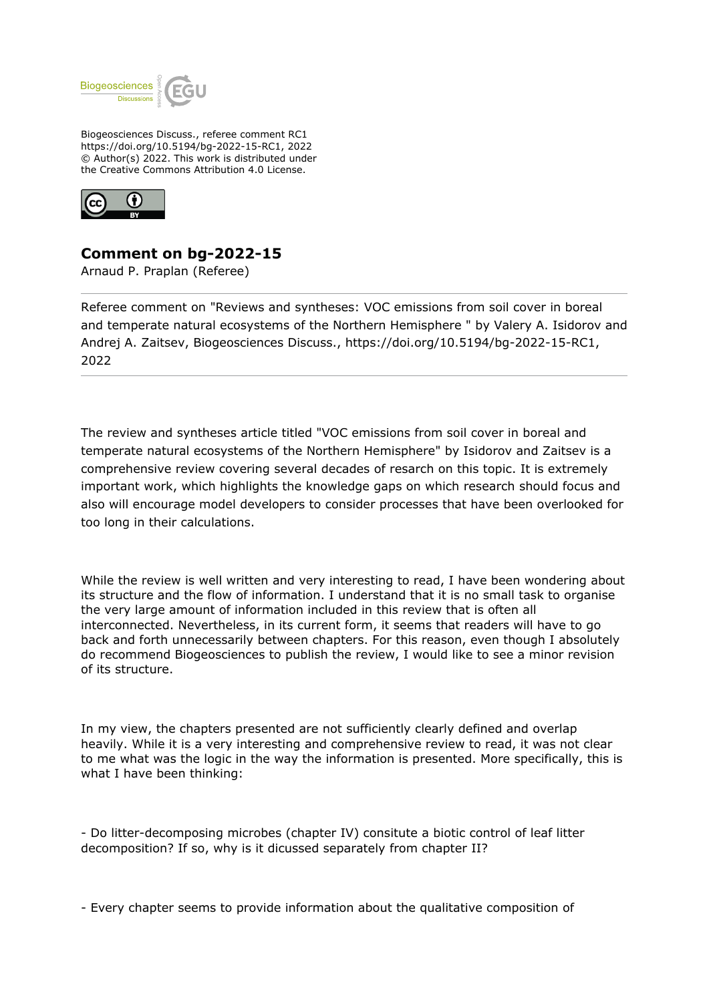

Biogeosciences Discuss., referee comment RC1 https://doi.org/10.5194/bg-2022-15-RC1, 2022 © Author(s) 2022. This work is distributed under the Creative Commons Attribution 4.0 License.



## **Comment on bg-2022-15**

Arnaud P. Praplan (Referee)

Referee comment on "Reviews and syntheses: VOC emissions from soil cover in boreal and temperate natural ecosystems of the Northern Hemisphere " by Valery A. Isidorov and Andrej A. Zaitsev, Biogeosciences Discuss., https://doi.org/10.5194/bg-2022-15-RC1, 2022

The review and syntheses article titled "VOC emissions from soil cover in boreal and temperate natural ecosystems of the Northern Hemisphere" by Isidorov and Zaitsev is a comprehensive review covering several decades of resarch on this topic. It is extremely important work, which highlights the knowledge gaps on which research should focus and also will encourage model developers to consider processes that have been overlooked for too long in their calculations.

While the review is well written and very interesting to read, I have been wondering about its structure and the flow of information. I understand that it is no small task to organise the very large amount of information included in this review that is often all interconnected. Nevertheless, in its current form, it seems that readers will have to go back and forth unnecessarily between chapters. For this reason, even though I absolutely do recommend Biogeosciences to publish the review, I would like to see a minor revision of its structure.

In my view, the chapters presented are not sufficiently clearly defined and overlap heavily. While it is a very interesting and comprehensive review to read, it was not clear to me what was the logic in the way the information is presented. More specifically, this is what I have been thinking:

- Do litter-decomposing microbes (chapter IV) consitute a biotic control of leaf litter decomposition? If so, why is it dicussed separately from chapter II?

- Every chapter seems to provide information about the qualitative composition of